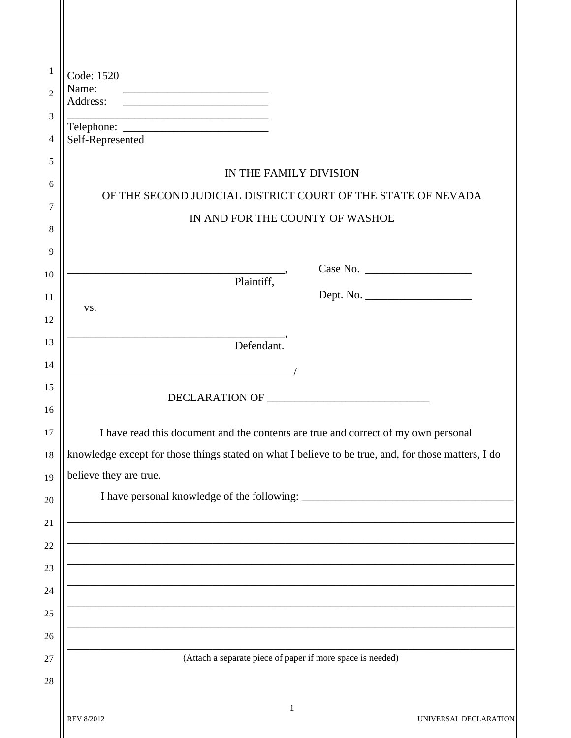| 1              | Code: 1520                                                                                                           |  |  |  |
|----------------|----------------------------------------------------------------------------------------------------------------------|--|--|--|
| $\overline{2}$ | Name:<br>Address:<br><u> 2008 - John Stone, Amerikaansk politiker (</u>                                              |  |  |  |
| 3              |                                                                                                                      |  |  |  |
| 4              | Self-Represented                                                                                                     |  |  |  |
| 5              | IN THE FAMILY DIVISION                                                                                               |  |  |  |
| 6              | OF THE SECOND JUDICIAL DISTRICT COURT OF THE STATE OF NEVADA                                                         |  |  |  |
| 7              | IN AND FOR THE COUNTY OF WASHOE                                                                                      |  |  |  |
| 8              |                                                                                                                      |  |  |  |
| 9              |                                                                                                                      |  |  |  |
| 10             | Case No.<br>$\overline{\phantom{a}}$ Plaintiff,                                                                      |  |  |  |
| 11             | VS.                                                                                                                  |  |  |  |
| 12             | <u> 2000 - 2000 - 2000 - 2000 - 2000 - 2000 - 2000 - 2000 - 2000 - 2000 - 2000 - 2000 - 2000 - 2000 - 2000 - 200</u> |  |  |  |
| 13             | Defendant.                                                                                                           |  |  |  |
| 14             |                                                                                                                      |  |  |  |
| 15             |                                                                                                                      |  |  |  |
| 16             |                                                                                                                      |  |  |  |
| 17             | I have read this document and the contents are true and correct of my own personal                                   |  |  |  |
| 18             | knowledge except for those things stated on what I believe to be true, and, for those matters, I do                  |  |  |  |
| 19             | believe they are true.                                                                                               |  |  |  |
| 20             |                                                                                                                      |  |  |  |
| 21             |                                                                                                                      |  |  |  |
| 22             |                                                                                                                      |  |  |  |
| 23             |                                                                                                                      |  |  |  |
| 24             | <u> 2008 - Jan James James James James James James James James James James James James James James James James J</u> |  |  |  |
| 25             |                                                                                                                      |  |  |  |
| 26             |                                                                                                                      |  |  |  |
| $27\,$         | (Attach a separate piece of paper if more space is needed)                                                           |  |  |  |
| 28             |                                                                                                                      |  |  |  |
|                |                                                                                                                      |  |  |  |